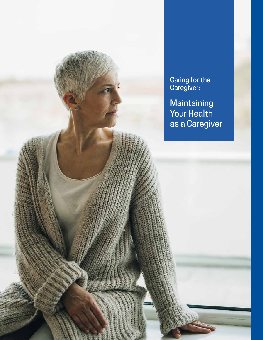Caring for the Caregiver:

**Maintaining** Your Health as a Caregiver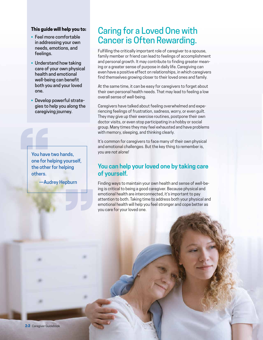#### **This guide will help you to:**

- Feel more comfortable in addressing your own needs, emotions, and feelings.
- Understand how taking care of your own physical health and emotional well-being can benefit both you and your loved one.
- Develop powerful strategies to help you along the caregiving journey.

You have<br>
one for he<br>
the others.<br>
—Aud You have two hands, one for helping yourself, the other for helping others.

—Audrey Hepburn

"<br>"<br>"<br>"

## Caring for a Loved One with Cancer is Often Rewarding.

Fulfilling the critically important role of caregiver to a spouse, family member or friend can lead to feelings of accomplishment and personal growth. It may contribute to finding greater meaning or a greater sense of purpose in daily life. Caregiving can even have a positive effect on relationships, in which caregivers find themselves growing closer to their loved ones and family.

At the same time, it can be easy for caregivers to forget about their own personal health needs. That may lead to feeling a low overall sense of well-being.

Caregivers have talked about feeling overwhelmed and experiencing feelings of frustration, sadness, worry, or even guilt. They may give up their exercise routines, postpone their own doctor visits, or even stop participating in a hobby or social group. Many times they may feel exhausted and have problems with memory, sleeping, and thinking clearly.

It's common for caregivers to face many of their own physical and emotional challenges. But the key thing to remember is, *you are not alone!*

## **You can help your loved one by taking care of yourself.**

Finding ways to maintain your own health and sense of well-being is critical to being a good caregiver. Because physical and emotional health are interconnected, it's important to pay attention to both. Taking time to address both your physical and emotional health will help you feel stronger and cope better as you care for your loved one.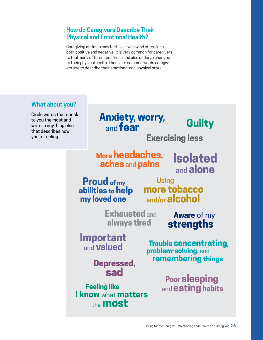## **How do Caregivers Describe Their Physical and Emotional Health?**

Caregiving at times may feel like a whirlwind of feelings, both positive and negative. It is very common for caregivers to feel many different emotions and also undergo changes to their physical health. These are common words caregivers use to describe their emotional and physical state.

## **What about you?**

Circle words that speak to you the most and write in anything else that describes how you're feeling.

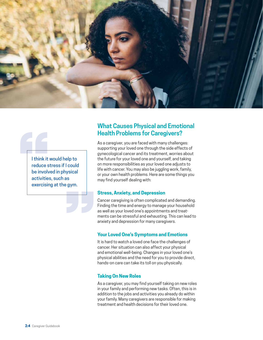

I think it v<br>reduce st<br>be involv<br>activities<br>exercisin I think it would help to reduce stress if I could be involved in physical activities, such as exercising at the gym.

**EC**<br>1

## **What Causes Physical and Emotional Health Problems for Caregivers?**

As a caregiver, you are faced with many challenges: supporting your loved one through the side effects of gynecological cancer and its treatment, worries about the future for your loved one and yourself, and taking on more responsibilities as your loved one adjusts to life with cancer. You may also be juggling work, family, or your own health problems. Here are some things you may find yourself dealing with:

#### **Stress, Anxiety, and Depression**

Cancer caregiving is often complicated and demanding. Finding the time and energy to manage your household as well as your loved one's appointments and treatments can be stressful and exhausting. This can lead to anxiety and depression for many caregivers.

#### **Your Loved One's Symptoms and Emotions**

It is hard to watch a loved one face the challenges of cancer. Her situation can also affect your physical and emotional well-being. Changes in your loved one's physical abilities and the need for you to provide direct, hands-on care can take its toll on you physically.

#### **Taking On New Roles**

As a caregiver, you may find yourself taking on new roles in your family and performing new tasks. Often, this is in addition to the jobs and activities you already do within your family. Many caregivers are responsible for making treatment and health decisions for their loved one.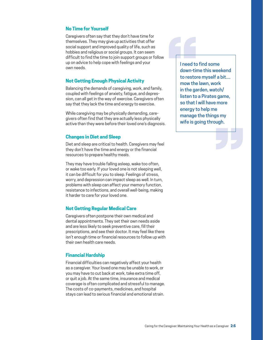#### **No Time for Yourself**

Caregivers often say that they don't have time for themselves. They may give up activities that offer social support and improved quality of life, such as hobbies and religious or social groups. It can seem difficult to find the time to join support groups or follow up on advice to help cope with feelings and your own needs.

#### **Not Getting Enough Physical Activity**

Balancing the demands of caregiving, work, and family, coupled with feelings of anxiety, fatigue, and depression, can all get in the way of exercise. Caregivers often say that they lack the time and energy to exercise.

While caregiving may be physically demanding, caregivers often find that they are actually less physically active than they were before their loved one's diagnosis.

#### **Changes in Diet and Sleep**

Diet and sleep are critical to health. Caregivers may feel they don't have the time and energy or the financial resources to prepare healthy meals.

They may have trouble falling asleep, wake too often, or wake too early. If your loved one is not sleeping well, it can be difficult for you to sleep. Feelings of stress, worry, and depression can impact sleep as well. In turn, problems with sleep can affect your memory function, resistance to infections, and overall well-being, making it harder to care for your loved one.

#### **Not Getting Regular Medical Care**

Caregivers often postpone their own medical and dental appointments. They set their own needs aside and are less likely to seek preventive care, fill their prescriptions, and see their doctor. It may feel like there isn't enough time or financial resources to follow up with their own health care needs.

#### **Financial Hardship**

Financial difficulties can negatively affect your health as a caregiver. Your loved one may be unable to work, or you may have to cut back at work, take extra time off, or quit a job. At the same time, insurance and medical coverage is often complicated and stressful to manage. The costs of co-payments, medicines, and hospital stays can lead to serious financial and emotional strain.

Ineed to<br>down-tim<br>to restor<br>mow the<br>in the gar<br>listen to a I need to find some down-time this weekend to restore myself a bit.... mow the lawn, work in the garden, watch/ listen to a Pirates game, so that I will have more energy to help me manage the things my wife is going through.

**EXP**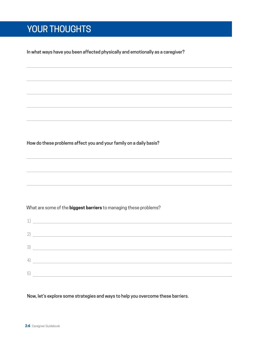# YOUR THOUGHTS

In what ways have you been affected physically and emotionally as a caregiver?

How do these problems affect you and your family on a daily basis?

What are some of the **biggest barriers** to managing these problems?

| 1)                           | <u> 1989 - John Harry Harry Harry Harry Harry Harry Harry Harry Harry Harry Harry Harry Harry Harry Harry Harry H</u> |
|------------------------------|-----------------------------------------------------------------------------------------------------------------------|
|                              | $\begin{tabular}{c} 2) \end{tabular}$                                                                                 |
|                              | $\left(3\right)$                                                                                                      |
| $\left( \frac{1}{2} \right)$ |                                                                                                                       |
| 5                            |                                                                                                                       |

Now, let's explore some strategies and ways to help you overcome these barriers.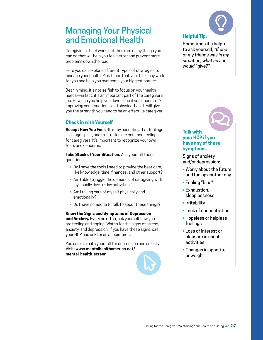## Managing Your Physical and Emotional Health

Caregiving is hard work, but there are many things you can do that will help you feel better and prevent more problems down the road.

Here you can explore different types of strategies to manage your health. Pick those that you think may work for you and help you overcome your biggest barriers.

Bear in mind, it's not selfish to focus on your health needs—in fact, it's an important part of the caregiver's job. How can you help your loved one if you become ill? Improving your emotional and physical health will give you the strength you need to be an effective caregiver!

#### **Check in with Yourself**

**Accept How You Feel.** Start by accepting that feelings like anger, guilt, and frustration are common feelings for caregivers. It's important to recognize your own fears and concerns.

**Take Stock of Your Situation.** Ask yourself these questions:

- Do I have the tools I need to provide the best care, like knowledge, time, finances, and other support?
- Am I able to juggle the demands of caregiving with my usually day-to-day activities?
- Am I taking care of myself physically and emotionally?
- Do I have someone to talk to about these things?

#### **Know the Signs and Symptoms of Depression**

**and Anxiety.** Every so often, ask yourself how you are feeling and coping. Watch for the signs of stress, anxiety, and depression. If you have these signs, call your HCP and ask for an appointment.

You can evaluate yourself for depression and anxiety. Visit: **www.mentalhealthamerica.net/ mental-health-screen**



#### **Helpful Tip:**

Sometimes it's helpful to ask yourself, *"If one of my friends was in my situation, what advice would I give?"*

 $\bigcirc$ 



#### **your HCP if you have any of these symptoms.**

Signs of anxiety and/or depression:

- Worry about the future and facing another day
- Feeling "blue"
- Exhaustion, sleeplessness
- Irritability
- Lack of concentration
- Hopeless or helpless feelings
- Loss of interest or pleasure in usual activities
- Changes in appetite or weight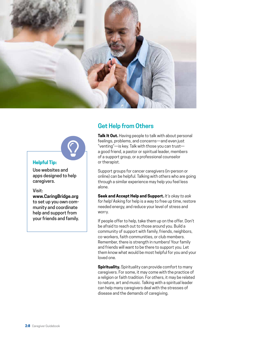



#### **Helpful Tip:**

Use websites and apps designed to help caregivers.

#### Visit:

**www.CaringBridge.org** to set up you own community and coordinate help and support from your friends and family.

## **Get Help from Others**

**Talk It Out.** Having people to talk with about personal feelings, problems, and concerns—and even just "venting"—is key. Talk with those you can trust a good friend, a pastor or spiritual leader, members of a support group, or a professional counselor or therapist.

Support groups for cancer caregivers (in-person or online) can be helpful. Talking with others who are going through a similar experience may help you feel less alone.

**Seek and Accept Help and Support.** *It's okay to ask for help!* Asking for help is a way to free up time, restore needed energy, and reduce your level of stress and worry.

If people offer to help, take them up on the offer. Don't be afraid to reach out to those around you. Build a community of support with family, friends, neighbors, co-workers, faith communities, or club members. Remember, there is strength in numbers! Your family and friends will want to be there to support you. Let them know what would be most helpful for you and your loved one.

**Spirituality.** Spirituality can provide comfort to many caregivers. For some, it may come with the practice of a religion or faith tradition. For others, it may be related to nature, art and music. Talking with a spiritual leader can help many caregivers deal with the stresses of disease and the demands of caregiving.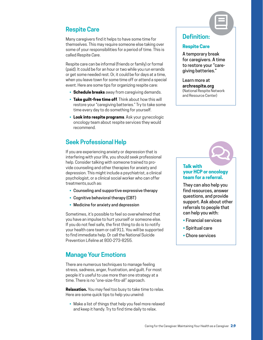## **Respite Care**

Many caregivers find it helps to have some time for themselves. This may require someone else taking over some of your responsibilities for a period of time. This is called *Respite Care*.

Respite care can be informal (friends or family) or formal (paid). It could be for an hour or two while you run errands or get some needed rest. Or, it could be for days at a time, when you leave town for some time off or attend a special event. Here are some tips for organizing respite care:

- **Schedule breaks** away from caregiving demands.
- **Take guilt-free time off**. Think about how this will restore your "caregiving batteries." Try to take some time every day to do something for yourself.
- **Look into respite programs**. Ask your gynecologic oncology team about respite services they would recommend.

## **Seek Professional Help**

If you are experiencing anxiety or depression that is interfering with your life, you should seek professional help. Consider talking with someone trained to provide counseling and other therapies for anxiety and depression. This might include a psychiatrist, a clinical psychologist, or a clinical social worker who can offer treatments,such as:

- Counseling and supportive expressive therapy
- Cognitive behavioral therapy (CBT)
- Medicine for anxiety and depression

Sometimes, it's possible to feel so overwhelmed that you have an impulse to hurt yourself or someone else. If you do not feel safe, the first thing to do is to notify your health care team or call 911. You will be supported to find immediate help. Or call the National Suicide Prevention Lifeline at 800-273-8255.

### **Manage Your Emotions**

There are numerous techniques to manage feeling stress, sadness, anger, frustration, and guilt. For most people it's useful to use more than one strategy at a time. There is no "one-size-fits-all" approach.

**Relaxation.** You may feel too busy to take time to relax. Here are some quick tips to help you unwind:

• Make a list of things that help you feel more relaxed and keep it handy. Try to find time daily to relax.

## **Definition:**

#### **Respite Care**

A temporary break for caregivers. A time to restore your "caregiving batteries."

 $\bm \Xi$ 

Learn more at **archrespite.org** (National Respite Network and Resource Center)

#### **Talk with your HCP or oncology team for a referral.**

 $\boldsymbol{\mathcal{Q}}$ 

They can also help you find resources, answer questions, and provide support. Ask about other referrals to people that can help you with:

- Financial services
- Spiritual care
- Chore services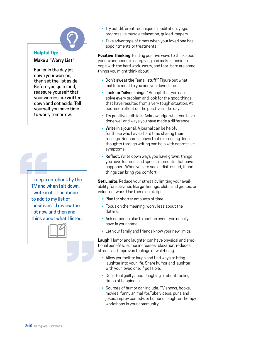### **Helpful Tip:**

**Make a "Worry List"**

Earlier in the day jot down your worries, then set the list aside. Before you go to bed, reassure yourself that your worries are written down and set aside. Tell yourself you have time to worry tomorrow.

I keep a n<br>TV and w<br>I write in<br>to add to<br>'positives<br>list now a I keep a notebook by the TV and when I sit down, I write in it....I continue to add to my list of 'positives'...I review the list now and then and think about what I listed.



- Try out different techniques: meditation, yoga,<br>progressive muscle relaxation, guided imagery.<br>• Take advantage of times when your loved one h<br>appointments or treatments. progressive muscle relaxation, guided imagery.
	- Take advantage of times when your loved one has appointments or treatments.

**Positive Thinking**. Finding positive ways to think about your experiences in caregiving can make it easier to cope with the hard work, worry, and fear. Here are some things you might think about:

- Don't sweat the "small stuff." Figure out what matters most to you and your loved one.
- Look for "silver linings." Accept that you can't solve every problem and look for the good things that have resulted from a very tough situation. At bedtime, reflect on the positive in the day.
- Try positive self-talk. Acknowledge what you have done well and ways you have made a difference.
- Write in a journal. A journal can be helpful for those who have a hard time sharing their feelings. Research shows that expressing deep thoughts through writing can help with depressive symptoms.
- Reflect. Write down ways you have grown, things you have learned, and special moments that have happened. When you are sad or distressed, these things can bring you comfort.

**Set Limits**. Reduce your stress by limiting your availability for activities like gatherings, clubs and groups, or volunteer work. Use these quick tips:

- Plan for shorter amounts of time.
- Focus on the meaning, worry less about the details.
- Ask someone else to host an event you usually have in your home.
- Let your family and friends know your new limits.

**Laugh**. Humor and laughter can have physical and emotional benefits. Humor increases relaxation, reduces stress, and improves feelings of well-being.

- Allow yourself to laugh and find ways to bring laughter into your life. Share humor and laughter with your loved one, if possible.
- Don't feel guilty about laughing or about feeling times of happiness.
- Sources of humor can include: TV shows, books, movies, funny animal YouTube videos, puns and jokes, improv comedy, or humor or laughter therapy workshops in your community.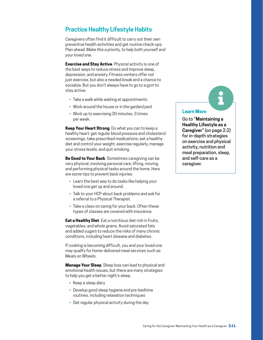### **Practice Healthy Lifestyle Habits**

Caregivers often find it difficult to carry out their own preventive health activities and get routine check-ups. Plan ahead. *Make this a priority, to help both yourself and your loved one.*

**Exercise and Stay Active**. Physical activity is one of the best ways to reduce stress and improve sleep, depression, and anxiety. Fitness centers offer not just exercise, but also a needed break and a chance to socialize. But you don't always have to go to a gym to stay active:

- Take a walk while waiting at appointments.
- Work around the house or in the garden/yard.
- Work up to exercising 30 minutes, 3 times per week.

**Keep Your Heart Strong**. Do what you can to keep a healthy heart: get regular blood pressure and cholesterol screenings, take prescribed medications, eat a healthy diet and control your weight, exercise regularly, manage your stress levels, and quit smoking.

**Be Good to Your Back**. Sometimes caregiving can be very physical, involving personal care, lifting, moving, and performing physical tasks around the home. Here are some tips to prevent back injuries:

- Learn the best way to do tasks like helping your loved one get up and around.
- Talk to your HCP about back problems and ask for a referral to a Physical Therapist.
- Take a class on caring for your back. Often these types of classes are covered with insurance.

**Eat a Healthy Diet**. Eat a nutritious diet rich in fruits, vegetables, and whole grains. Avoid saturated fats and added sugars to reduce the risks of many chronic conditions, including heart disease and diabetes.

If cooking is becoming difficult, you and your loved one may qualify for home-delivered meal services such as Meals on Wheels.

**Manage Your Sleep**. Sleep loss can lead to physical and emotional health issues, but there are many strategies to help you get a better night's sleep.

- Keep a sleep diary
- Develop good sleep hygiene and pre-bedtime routines, including relaxation techniques
- Get regular physical activity during the day

#### **Learn More**

Go to "**Maintaining a Healthy Lifestyle as a Caregiver**" (on page 2:2) for in-depth strategies on exercise and physical activity, nutrition and meal preparation, sleep, and self-care as a caregiver.

 $\ddot{\textbf{i}}$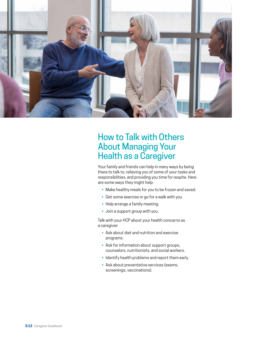

## How to Talk with Others About Managing Your Health as a Caregiver

Your family and friends can help in many ways by being there to talk to, relieving you of some of your tasks and responsibilities, and providing you time for respite. Here are some ways they might help:

- Make healthy meals for you to be frozen and saved.
- Get some exercise or go for a walk with you.
- Help arrange a family meeting.
- Join a support group with you.

Talk with your HCP about your health concerns as a caregiver:

- Ask about diet and nutrition and exercise programs.
- Ask for information about support groups, counselors, nutritionists, and social workers.
- Identify health problems and report them early.
- Ask about preventative services (exams, screenings, vaccinations).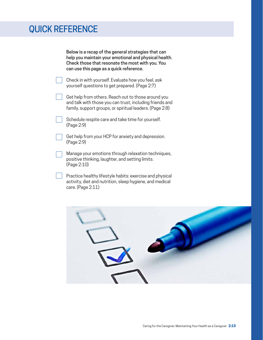## QUICK REFERENCE

Below is a recap of the general strategies that can help you maintain your emotional and physical health. Check those that resonate the most with you. You can use this page as a quick reference.

- Check in with yourself. Evaluate how you feel, ask yourself questions to get prepared. (Page 2:7)
- Get help from others. Reach out to those around you and talk with those you can trust, including friends and family, support groups, or spiritual leaders. (Page 2:8)
- Schedule respite care and take time for yourself. (Page 2:9)
- Get help from your HCP for anxiety and depression. (Page 2:9)
- Manage your emotions through relaxation techniques, positive thinking, laughter, and setting limits. (Page 2:10)
- Practice healthy lifestyle habits: exercise and physical activity, diet and nutrition, sleep hygiene, and medical care. (Page 2:11)